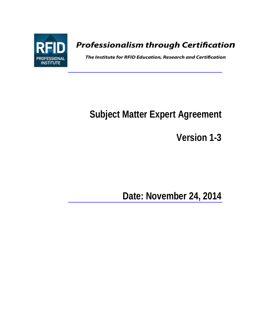

# **Professionalism through Certification**

The Institute for RFID Education, Research and Certification

# **Subject Matter Expert Agreement**

**Version 1-3**

**Date: November 24, 2014**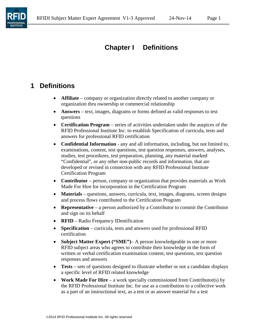

# **Chapter I Definitions**

#### **1 Definitions**

- **Affiliate** company or organization directly related to another company or organization thru ownership or commercial relationship
- **Answers** text, images, diagrams or forms defined as valid responses to test questions
- **Certification Program** series of activities undertaken under the auspices of the RFID Professional Institute Inc. to establish Specification of curricula, tests and answers for professional RFID certification
- **Confidential Information**  any and all information, including, but not limited to, examinations, content, test questions, test question responses, answers, analyses, studies, test procedures, test preparation, planning, any material marked "Confidential", or any other non-public records and information, that are developed or revised in connection with any RFID Professional Institute Certification Program
- **Contributor** person, company or organization that provides materials as Work Made For Hire for incorporation in the Certification Program
- **Materials** questions, answers, curricula, text, images, diagrams, screen designs and process flows contributed to the Certification Program
- **Representative** a person authorized by a Contributor to commit the Contributor and sign on its behalf
- **RFID** Radio Frequency IDentification
- **Specification** curricula, tests and answers used for professional RFID certification
- **Subject Matter Expert ("SME")** A person knowledgeable in one or more RFID subject areas who agrees to contribute their knowledge in the form of written or verbal certification examination content, test questions, test question responses and answers
- **Tests** sets of questions designed to illustrate whether or not a candidate displays a specific level of RFID related knowledge
- **Work Made For Hire** a work specially commissioned from Contributor(s) by the RFID Professional Institute Inc. for use as a contribution to a collective work as a part of an instructional text, as a test or as answer material for a test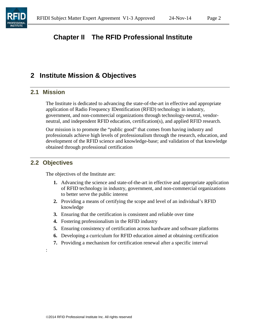# **Chapter II The RFID Professional Institute**

#### **2 Institute Mission & Objectives**

#### **2.1 Mission**

The Institute is dedicated to advancing the state-of-the-art in effective and appropriate application of Radio Frequency IDentification (RFID) technology in industry, government, and non-commercial organizations through technology-neutral, vendorneutral, and independent RFID education, certification(s), and applied RFID research.

Our mission is to promote the "public good" that comes from having industry and professionals achieve high levels of professionalism through the research, education, and development of the RFID science and knowledge-base; and validation of that knowledge obtained through professional certification

#### **2.2 Objectives**

:

The objectives of the Institute are:

- **1.** Advancing the science and state-of-the-art in effective and appropriate application of RFID technology in industry, government, and non-commercial organizations to better serve the public interest
- **2.** Providing a means of certifying the scope and level of an individual's RFID knowledge
- **3.** Ensuring that the certification is consistent and reliable over time
- **4.** Fostering professionalism in the RFID industry
- **5.** Ensuring consistency of certification across hardware and software platforms
- **6.** Developing a curriculum for RFID education aimed at obtaining certification
- **7.** Providing a mechanism for certification renewal after a specific interval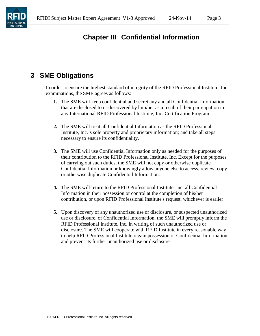

# **Chapter III Confidential Information**

#### **3 SME Obligations**

In order to ensure the highest standard of integrity of the RFID Professional Institute, Inc. examinations, the SME agrees as follows:

- **1.** The SME will keep confidential and secret any and all Confidential Information, that are disclosed to or discovered by him/her as a result of their participation in any International RFID Professional Institute, Inc. Certification Program
- **2.** The SME will treat all Confidential Information as the RFID Professional Institute, Inc.'s sole property and proprietary information; and take all steps necessary to ensure its confidentiality.
- **3.** The SME will use Confidential Information only as needed for the purposes of their contribution to the RFID Professional Institute, Inc. Except for the purposes of carrying out such duties, the SME will not copy or otherwise duplicate Confidential Information or knowingly allow anyone else to access, review, copy or otherwise duplicate Confidential Information.
- **4.** The SME will return to the RFID Professional Institute, Inc. all Confidential Information in their possession or control at the completion of his/her contribution, or upon RFID Professional Institute's request, whichever is earlier
- **5.** Upon discovery of any unauthorized use or disclosure, or suspected unauthorized use or disclosure, of Confidential Information, the SME will promptly inform the RFID Professional Institute, Inc. in writing of such unauthorized use or disclosure. The SME will cooperate with RFID Institute in every reasonable way to help RFID Professional Institute regain possession of Confidential Information and prevent its further unauthorized use or disclosure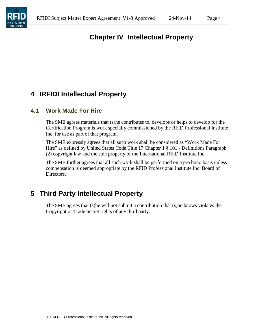

# **Chapter IV Intellectual Property**

#### **4 IRFIDI Intellectual Property**

#### **4.1 Work Made For Hire**

The SME agrees materials that (s)he contributes to, develops or helps to develop for the Certification Program is work specially commissioned by the RFID Professional Institute Inc. for use as part of that program.

The SME expressly agrees that all such work shall be considered as "Work Made For Hire" as defined by United States Code Title 17 Chapter 1 § 101 - Definitions Paragraph (2) copyright law and the sole property of the International RFID Institute Inc.

The SME further agrees that all such work shall be performed on a pro bono basis unless compensation is deemed appropriate by the RFID Professional Institute Inc. Board of Directors.

## **5 Third Party Intellectual Property**

The SME agrees that (s)he will not submit a contribution that (s)he knows violates the Copyright or Trade Secret rights of any third party.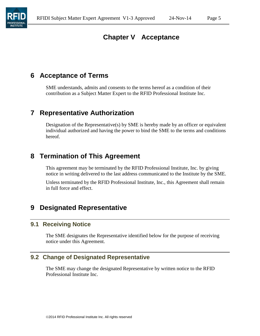## **Chapter V Acceptance**

#### **6 Acceptance of Terms**

SME understands, admits and consents to the terms hereof as a condition of their contribution as a Subject Matter Expert to the RFID Professional Institute Inc.

#### **7 Representative Authorization**

Designation of the Representative(s) by SME is hereby made by an officer or equivalent individual authorized and having the power to bind the SME to the terms and conditions hereof.

#### **8 Termination of This Agreement**

This agreement may be terminated by the RFID Professional Institute, Inc. by giving notice in writing delivered to the last address communicated to the Institute by the SME.

Unless terminated by the RFID Professional Institute, Inc., this Agreement shall remain in full force and effect.

#### **9 Designated Representative**

#### **9.1 Receiving Notice**

The SME designates the Representative identified below for the purpose of receiving notice under this Agreement.

#### **9.2 Change of Designated Representative**

The SME may change the designated Representative by written notice to the RFID Professional Institute Inc.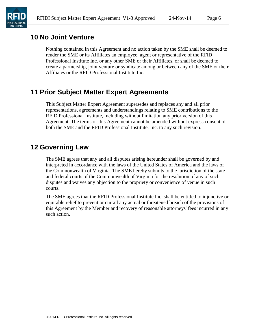#### **10 No Joint Venture**

Nothing contained in this Agreement and no action taken by the SME shall be deemed to render the SME or its Affiliates an employee, agent or representative of the RFID Professional Institute Inc. or any other SME or their Affiliates, or shall be deemed to create a partnership, joint venture or syndicate among or between any of the SME or their Affiliates or the RFID Professional Institute Inc.

#### **11 Prior Subject Matter Expert Agreements**

This Subject Matter Expert Agreement supersedes and replaces any and all prior representations, agreements and understandings relating to SME contributions to the RFID Professional Institute, including without limitation any prior version of this Agreement. The terms of this Agreement cannot be amended without express consent of both the SME and the RFID Professional Institute, Inc. to any such revision.

#### **12 Governing Law**

The SME agrees that any and all disputes arising hereunder shall be governed by and interpreted in accordance with the laws of the United States of America and the laws of the Commonwealth of Virginia. The SME hereby submits to the jurisdiction of the state and federal courts of the Commonwealth of Virginia for the resolution of any of such disputes and waives any objection to the propriety or convenience of venue in such courts.

The SME agrees that the RFID Professional Institute Inc. shall be entitled to injunctive or equitable relief to prevent or curtail any actual or threatened breach of the provisions of this Agreement by the Member and recovery of reasonable attorneys' fees incurred in any such action.